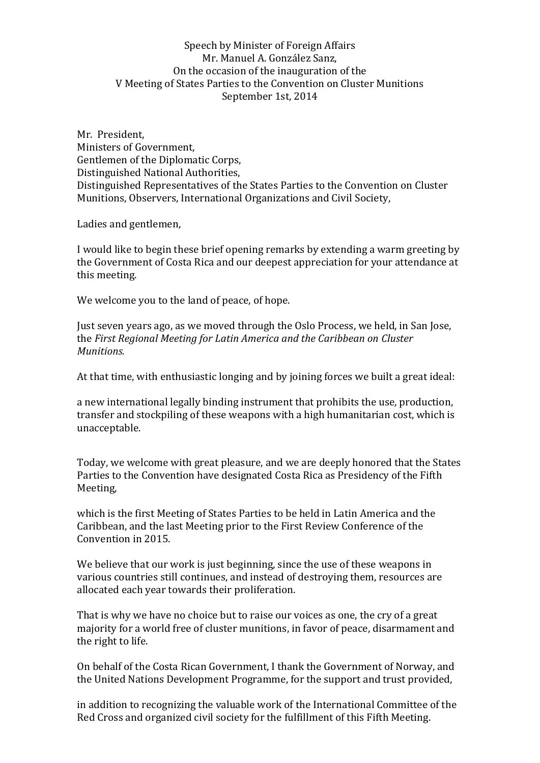## Speech by Minister of Foreign Affairs Mr. Manuel A. González Sanz, On the occasion of the inauguration of the V Meeting of States Parties to the Convention on Cluster Munitions September 1st, 2014

Mr. President, Ministers of Government, Gentlemen of the Diplomatic Corps, Distinguished National Authorities, Distinguished Representatives of the States Parties to the Convention on Cluster Munitions, Observers, International Organizations and Civil Society,

Ladies and gentlemen,

I would like to begin these brief opening remarks by extending a warm greeting by the Government of Costa Rica and our deepest appreciation for your attendance at this meeting.

We welcome you to the land of peace, of hope.

Just seven years ago, as we moved through the Oslo Process, we held, in San Jose, the *First Regional Meeting for Latin America and the Caribbean on Cluster Munitions.*

At that time, with enthusiastic longing and by joining forces we built a great ideal:

a new international legally binding instrument that prohibits the use, production, transfer and stockpiling of these weapons with a high humanitarian cost, which is unacceptable.

Today, we welcome with great pleasure, and we are deeply honored that the States Parties to the Convention have designated Costa Rica as Presidency of the Fifth Meeting,

which is the first Meeting of States Parties to be held in Latin America and the Caribbean, and the last Meeting prior to the First Review Conference of the Convention in 2015.

We believe that our work is just beginning, since the use of these weapons in various countries still continues, and instead of destroying them, resources are allocated each year towards their proliferation.

That is why we have no choice but to raise our voices as one, the cry of a great majority for a world free of cluster munitions, in favor of peace, disarmament and the right to life.

On behalf of the Costa Rican Government, I thank the Government of Norway, and the United Nations Development Programme, for the support and trust provided,

in addition to recognizing the valuable work of the International Committee of the Red Cross and organized civil society for the fulfillment of this Fifth Meeting.